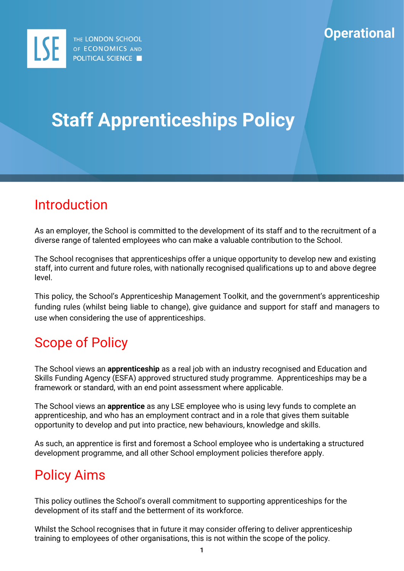

# **Staff Apprenticeships Policy**

### Introduction

As an employer, the School is committed to the development of its staff and to the recruitment of a diverse range of talented employees who can make a valuable contribution to the School.

The School recognises that apprenticeships offer a unique opportunity to develop new and existing staff, into current and future roles, with nationally recognised qualifications up to and above degree level.

This policy, the School's Apprenticeship Management Toolkit, and the government's apprenticeship funding rules (whilst being liable to change), give guidance and support for staff and managers to use when considering the use of apprenticeships.

### Scope of Policy

The School views an **apprenticeship** as a real job with an industry recognised and Education and Skills Funding Agency (ESFA) approved structured study programme. Apprenticeships may be a framework or standard, with an end point assessment where applicable.

The School views an **apprentice** as any LSE employee who is using levy funds to complete an apprenticeship, and who has an employment contract and in a role that gives them suitable opportunity to develop and put into practice, new behaviours, knowledge and skills.

As such, an apprentice is first and foremost a School employee who is undertaking a structured development programme, and all other School employment policies therefore apply.

### Policy Aims

This policy outlines the School's overall commitment to supporting apprenticeships for the development of its staff and the betterment of its workforce.

Whilst the School recognises that in future it may consider offering to deliver apprenticeship training to employees of other organisations, this is not within the scope of the policy.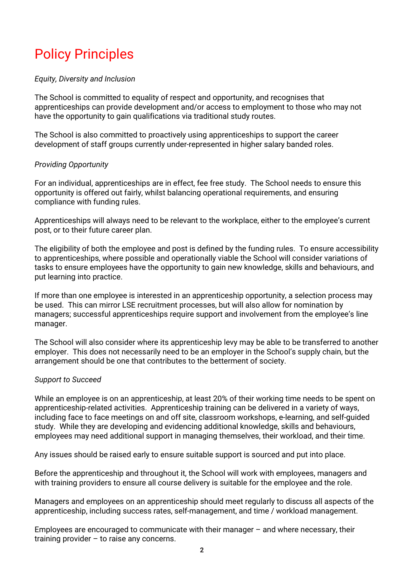## Policy Principles

#### *Equity, Diversity and Inclusion*

The School is committed to equality of respect and opportunity, and recognises that apprenticeships can provide development and/or access to employment to those who may not have the opportunity to gain qualifications via traditional study routes.

The School is also committed to proactively using apprenticeships to support the career development of staff groups currently under-represented in higher salary banded roles.

#### *Providing Opportunity*

For an individual, apprenticeships are in effect, fee free study. The School needs to ensure this opportunity is offered out fairly, whilst balancing operational requirements, and ensuring compliance with funding rules.

Apprenticeships will always need to be relevant to the workplace, either to the employee's current post, or to their future career plan.

The eligibility of both the employee and post is defined by the funding rules. To ensure accessibility to apprenticeships, where possible and operationally viable the School will consider variations of tasks to ensure employees have the opportunity to gain new knowledge, skills and behaviours, and put learning into practice.

If more than one employee is interested in an apprenticeship opportunity, a selection process may be used. This can mirror LSE recruitment processes, but will also allow for nomination by managers; successful apprenticeships require support and involvement from the employee's line manager.

The School will also consider where its apprenticeship levy may be able to be transferred to another employer. This does not necessarily need to be an employer in the School's supply chain, but the arrangement should be one that contributes to the betterment of society.

#### *Support to Succeed*

While an employee is on an apprenticeship, at least 20% of their working time needs to be spent on apprenticeship-related activities. Apprenticeship training can be delivered in a variety of ways, including face to face meetings on and off site, classroom workshops, e-learning, and self-guided study. While they are developing and evidencing additional knowledge, skills and behaviours, employees may need additional support in managing themselves, their workload, and their time.

Any issues should be raised early to ensure suitable support is sourced and put into place.

Before the apprenticeship and throughout it, the School will work with employees, managers and with training providers to ensure all course delivery is suitable for the employee and the role.

Managers and employees on an apprenticeship should meet regularly to discuss all aspects of the apprenticeship, including success rates, self-management, and time / workload management.

Employees are encouraged to communicate with their manager – and where necessary, their training provider – to raise any concerns.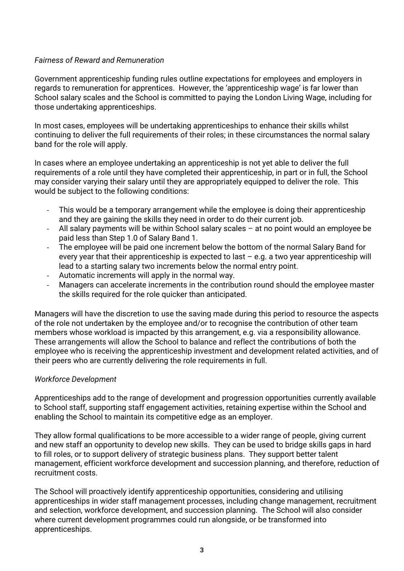#### *Fairness of Reward and Remuneration*

Government apprenticeship funding rules outline expectations for employees and employers in regards to remuneration for apprentices. However, the 'apprenticeship wage' is far lower than School salary scales and the School is committed to paying the London Living Wage, including for those undertaking apprenticeships.

In most cases, employees will be undertaking apprenticeships to enhance their skills whilst continuing to deliver the full requirements of their roles; in these circumstances the normal salary band for the role will apply.

In cases where an employee undertaking an apprenticeship is not yet able to deliver the full requirements of a role until they have completed their apprenticeship, in part or in full, the School may consider varying their salary until they are appropriately equipped to deliver the role. This would be subject to the following conditions:

- This would be a temporary arrangement while the employee is doing their apprenticeship and they are gaining the skills they need in order to do their current job.
- All salary payments will be within School salary scales  $-$  at no point would an employee be paid less than Step 1.0 of Salary Band 1.
- The employee will be paid one increment below the bottom of the normal Salary Band for every year that their apprenticeship is expected to last  $-$  e.g. a two year apprenticeship will lead to a starting salary two increments below the normal entry point.
- Automatic increments will apply in the normal way.
- Managers can accelerate increments in the contribution round should the employee master the skills required for the role quicker than anticipated.

Managers will have the discretion to use the saving made during this period to resource the aspects of the role not undertaken by the employee and/or to recognise the contribution of other team members whose workload is impacted by this arrangement, e.g. via a responsibility allowance. These arrangements will allow the School to balance and reflect the contributions of both the employee who is receiving the apprenticeship investment and development related activities, and of their peers who are currently delivering the role requirements in full.

#### *Workforce Development*

Apprenticeships add to the range of development and progression opportunities currently available to School staff, supporting staff engagement activities, retaining expertise within the School and enabling the School to maintain its competitive edge as an employer.

They allow formal qualifications to be more accessible to a wider range of people, giving current and new staff an opportunity to develop new skills. They can be used to bridge skills gaps in hard to fill roles, or to support delivery of strategic business plans. They support better talent management, efficient workforce development and succession planning, and therefore, reduction of recruitment costs.

The School will proactively identify apprenticeship opportunities, considering and utilising apprenticeships in wider staff management processes, including change management, recruitment and selection, workforce development, and succession planning. The School will also consider where current development programmes could run alongside, or be transformed into apprenticeships.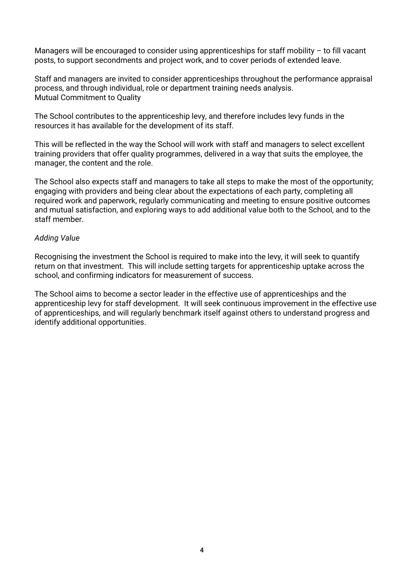Managers will be encouraged to consider using apprenticeships for staff mobility – to fill vacant posts, to support secondments and project work, and to cover periods of extended leave.

Staff and managers are invited to consider apprenticeships throughout the performance appraisal process, and through individual, role or department training needs analysis. Mutual Commitment to Quality

The School contributes to the apprenticeship levy, and therefore includes levy funds in the resources it has available for the development of its staff.

This will be reflected in the way the School will work with staff and managers to select excellent training providers that offer quality programmes, delivered in a way that suits the employee, the manager, the content and the role.

The School also expects staff and managers to take all steps to make the most of the opportunity; engaging with providers and being clear about the expectations of each party, completing all required work and paperwork, regularly communicating and meeting to ensure positive outcomes and mutual satisfaction, and exploring ways to add additional value both to the School, and to the staff member.

#### *Adding Value*

Recognising the investment the School is required to make into the levy, it will seek to quantify return on that investment. This will include setting targets for apprenticeship uptake across the school, and confirming indicators for measurement of success.

The School aims to become a sector leader in the effective use of apprenticeships and the apprenticeship levy for staff development. It will seek continuous improvement in the effective use of apprenticeships, and will regularly benchmark itself against others to understand progress and identify additional opportunities.